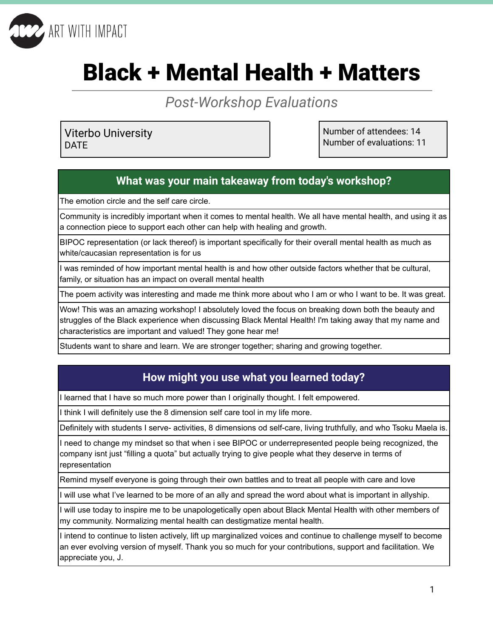

# Black + Mental Health + Matters

*Post-Workshop Evaluations*

Viterbo University DATE

Number of attendees: 14 Number of evaluations: 11

# **What was your main takeaway from today's workshop?**

The emotion circle and the self care circle.

Community is incredibly important when it comes to mental health. We all have mental health, and using it as a connection piece to support each other can help with healing and growth.

BIPOC representation (or lack thereof) is important specifically for their overall mental health as much as white/caucasian representation is for us

I was reminded of how important mental health is and how other outside factors whether that be cultural, family, or situation has an impact on overall mental health

The poem activity was interesting and made me think more about who I am or who I want to be. It was great.

Wow! This was an amazing workshop! I absolutely loved the focus on breaking down both the beauty and struggles of the Black experience when discussing Black Mental Health! I'm taking away that my name and characteristics are important and valued! They gone hear me!

Students want to share and learn. We are stronger together; sharing and growing together.

# **How might you use what you learned today?**

I learned that I have so much more power than I originally thought. I felt empowered.

I think I will definitely use the 8 dimension self care tool in my life more.

Definitely with students I serve- activities, 8 dimensions od self-care, living truthfully, and who Tsoku Maela is.

I need to change my mindset so that when i see BIPOC or underrepresented people being recognized, the company isnt just "filling a quota" but actually trying to give people what they deserve in terms of representation

Remind myself everyone is going through their own battles and to treat all people with care and love

I will use what I've learned to be more of an ally and spread the word about what is important in allyship.

I will use today to inspire me to be unapologetically open about Black Mental Health with other members of my community. Normalizing mental health can destigmatize mental health.

I intend to continue to listen actively, lift up marginalized voices and continue to challenge myself to become an ever evolving version of myself. Thank you so much for your contributions, support and facilitation. We appreciate you, J.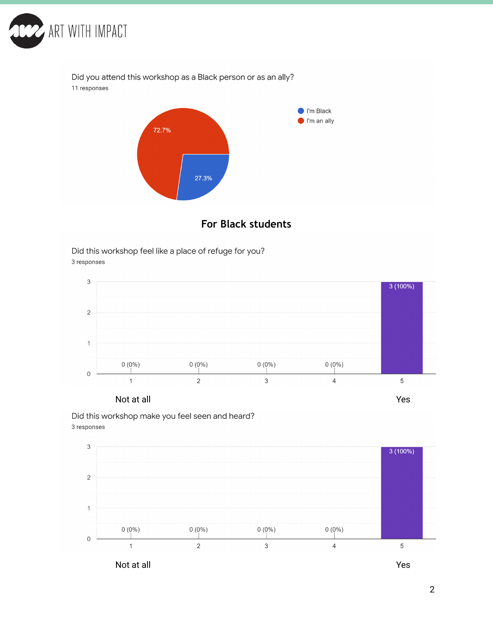

Did you attend this workshop as a Black person or as an ally? 11 responses



### **For Black students**

Did this workshop feel like a place of refuge for you? 3 responses





Did this workshop make you feel seen and heard? 3 responses

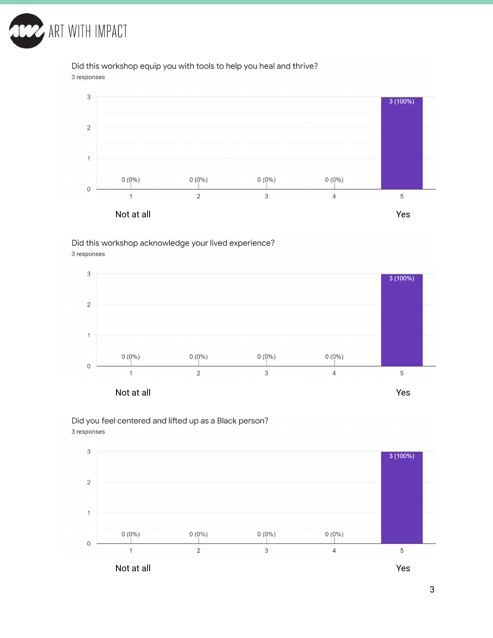

Did this workshop equip you with tools to help you heal and thrive? 3 responses



#### Did this workshop acknowledge your lived experience? 3 responses



Did you feel centered and lifted up as a Black person? 3 responses

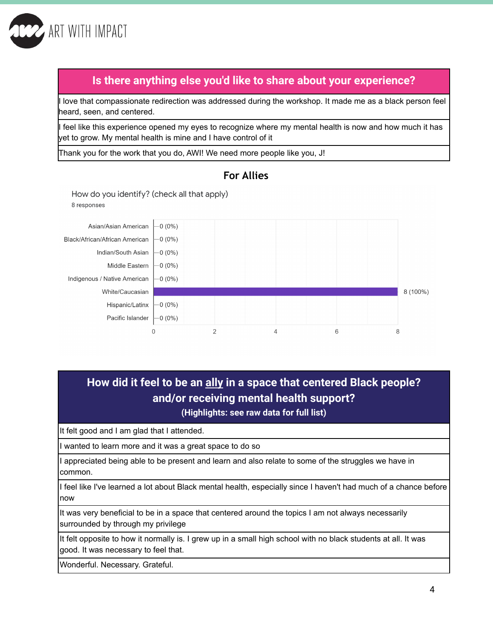

# **Is there anything else you'd like to share about your experience?**

I love that compassionate redirection was addressed during the workshop. It made me as a black person feel heard, seen, and centered.

I feel like this experience opened my eyes to recognize where my mental health is now and how much it has yet to grow. My mental health is mine and I have control of it

Thank you for the work that you do, AWI! We need more people like you, J!

How do you identify? (check all that apply)



#### **For Allies**

# **How did it feel to be an ally in a space that centered Black people? and/or receiving mental health support?**

**(Highlights: see raw data for full list)**

It felt good and I am glad that I attended.

I wanted to learn more and it was a great space to do so

I appreciated being able to be present and learn and also relate to some of the struggles we have in common.

I feel like I've learned a lot about Black mental health, especially since I haven't had much of a chance before now

It was very beneficial to be in a space that centered around the topics I am not always necessarily surrounded by through my privilege

It felt opposite to how it normally is. I grew up in a small high school with no black students at all. It was good. It was necessary to feel that.

Wonderful. Necessary. Grateful.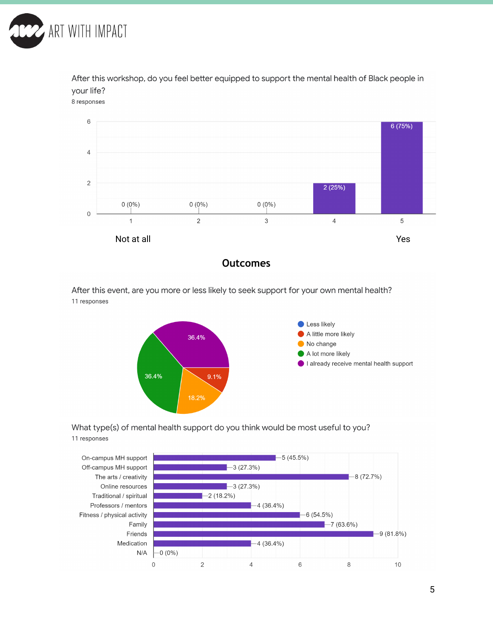

After this workshop, do you feel better equipped to support the mental health of Black people in your life?

8 responses



**Outcomes**

After this event, are you more or less likely to seek support for your own mental health? 11 responses





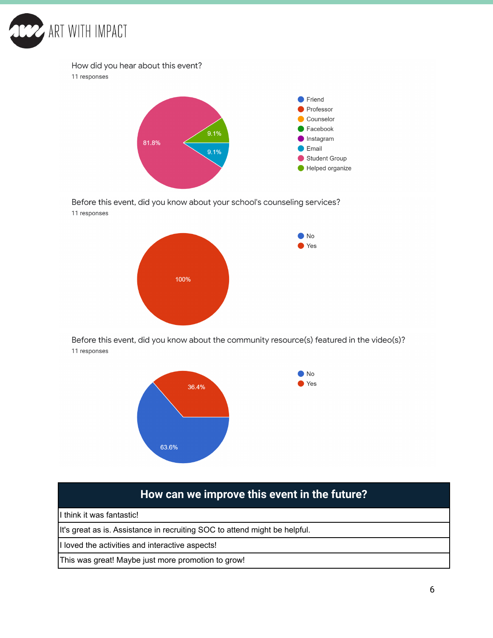

#### How did you hear about this event?

11 responses



Before this event, did you know about your school's counseling services? 11 responses



Before this event, did you know about the community resource(s) featured in the video(s)? 11 responses



# **How can we improve this event in the future?**

I think it was fantastic!

It's great as is. Assistance in recruiting SOC to attend might be helpful.

I loved the activities and interactive aspects!

This was great! Maybe just more promotion to grow!